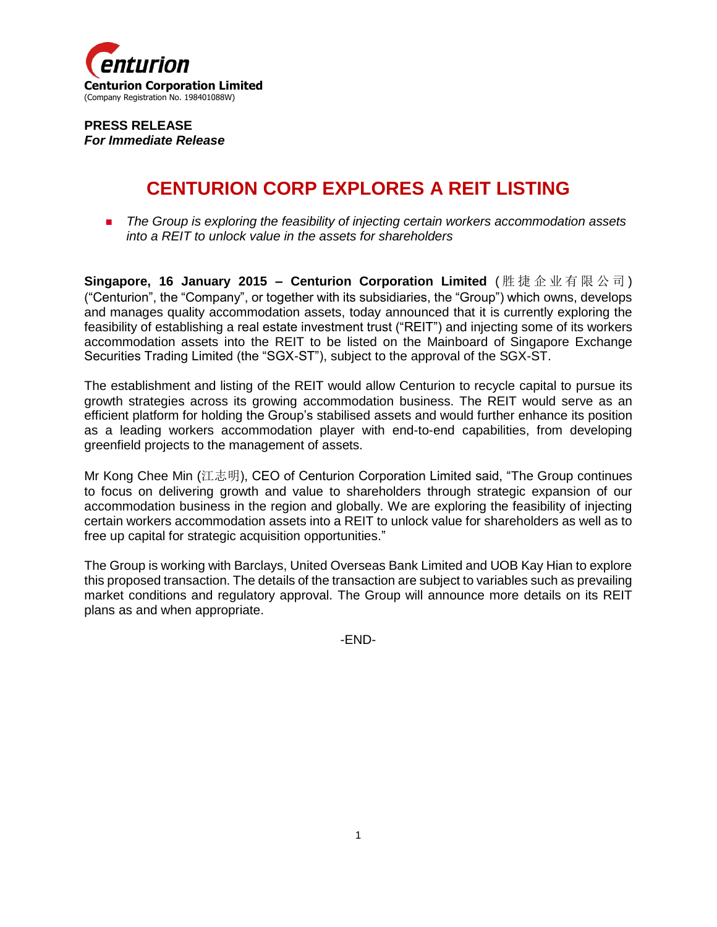

**PRESS RELEASE** *For Immediate Release*

## **CENTURION CORP EXPLORES A REIT LISTING**

**The Group is exploring the feasibility of injecting certain workers accommodation assets** *into a REIT to unlock value in the assets for shareholders*

**Singapore, 16 January 2015 – Centurion Corporation Limited** ( 胜捷企业有限公司 ) ("Centurion", the "Company", or together with its subsidiaries, the "Group") which owns, develops and manages quality accommodation assets, today announced that it is currently exploring the feasibility of establishing a real estate investment trust ("REIT") and injecting some of its workers accommodation assets into the REIT to be listed on the Mainboard of Singapore Exchange Securities Trading Limited (the "SGX-ST"), subject to the approval of the SGX-ST.

The establishment and listing of the REIT would allow Centurion to recycle capital to pursue its growth strategies across its growing accommodation business. The REIT would serve as an efficient platform for holding the Group's stabilised assets and would further enhance its position as a leading workers accommodation player with end-to-end capabilities, from developing greenfield projects to the management of assets.

Mr Kong Chee Min (江志明), CEO of Centurion Corporation Limited said, "The Group continues to focus on delivering growth and value to shareholders through strategic expansion of our accommodation business in the region and globally. We are exploring the feasibility of injecting certain workers accommodation assets into a REIT to unlock value for shareholders as well as to free up capital for strategic acquisition opportunities."

The Group is working with Barclays, United Overseas Bank Limited and UOB Kay Hian to explore this proposed transaction. The details of the transaction are subject to variables such as prevailing market conditions and regulatory approval. The Group will announce more details on its REIT plans as and when appropriate.

-END-